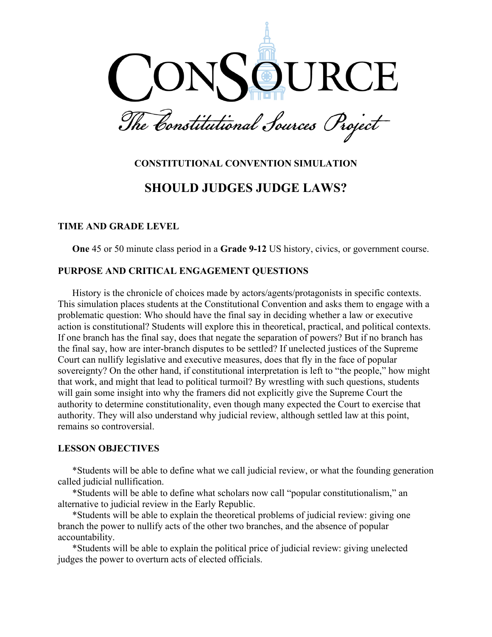

# **CONSTITUTIONAL CONVENTION SIMULATION**

# **SHOULD JUDGES JUDGE LAWS?**

#### **TIME AND GRADE LEVEL**

**One** 45 or 50 minute class period in a **Grade 9-12** US history, civics, or government course.

#### **PURPOSE AND CRITICAL ENGAGEMENT QUESTIONS**

History is the chronicle of choices made by actors/agents/protagonists in specific contexts. This simulation places students at the Constitutional Convention and asks them to engage with a problematic question: Who should have the final say in deciding whether a law or executive action is constitutional? Students will explore this in theoretical, practical, and political contexts. If one branch has the final say, does that negate the separation of powers? But if no branch has the final say, how are inter-branch disputes to be settled? If unelected justices of the Supreme Court can nullify legislative and executive measures, does that fly in the face of popular sovereignty? On the other hand, if constitutional interpretation is left to "the people," how might that work, and might that lead to political turmoil? By wrestling with such questions, students will gain some insight into why the framers did not explicitly give the Supreme Court the authority to determine constitutionality, even though many expected the Court to exercise that authority. They will also understand why judicial review, although settled law at this point, remains so controversial.

#### **LESSON OBJECTIVES**

\*Students will be able to define what we call judicial review, or what the founding generation called judicial nullification.

\*Students will be able to define what scholars now call "popular constitutionalism," an alternative to judicial review in the Early Republic.

\*Students will be able to explain the theoretical problems of judicial review: giving one branch the power to nullify acts of the other two branches, and the absence of popular accountability.

\*Students will be able to explain the political price of judicial review: giving unelected judges the power to overturn acts of elected officials.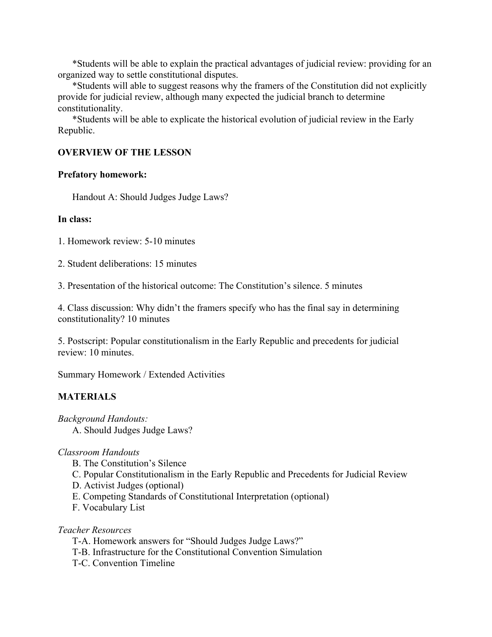\*Students will be able to explain the practical advantages of judicial review: providing for an organized way to settle constitutional disputes.

\*Students will able to suggest reasons why the framers of the Constitution did not explicitly provide for judicial review, although many expected the judicial branch to determine constitutionality.

\*Students will be able to explicate the historical evolution of judicial review in the Early Republic.

#### **OVERVIEW OF THE LESSON**

#### **Prefatory homework:**

Handout A: Should Judges Judge Laws?

#### **In class:**

1. Homework review: 5-10 minutes

2. Student deliberations: 15 minutes

3. Presentation of the historical outcome: The Constitution's silence. 5 minutes

4. Class discussion: Why didn't the framers specify who has the final say in determining constitutionality? 10 minutes

5. Postscript: Popular constitutionalism in the Early Republic and precedents for judicial review: 10 minutes.

Summary Homework / Extended Activities

#### **MATERIALS**

- *Background Handouts:* 
	- A. Should Judges Judge Laws?

#### *Classroom Handouts*

- B. The Constitution's Silence
- C. Popular Constitutionalism in the Early Republic and Precedents for Judicial Review
- D. Activist Judges (optional)
- E. Competing Standards of Constitutional Interpretation (optional)
- F. Vocabulary List

*Teacher Resources*

- T-A. Homework answers for "Should Judges Judge Laws?"
- T-B. Infrastructure for the Constitutional Convention Simulation
- T-C. Convention Timeline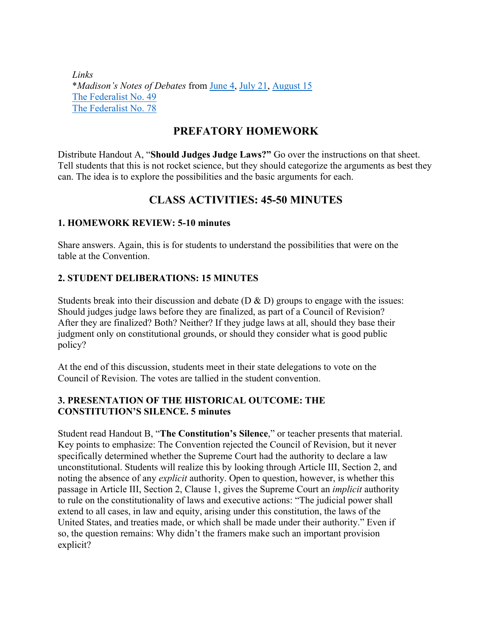*Links* \**Madison's Notes of Debates* from [June 4,](http://consource.org/document/james-madisons-notes-of-the-constitutional-convention-1787-6-4/) [July 21,](http://consource.org/document/james-madisons-notes-of-the-constitutional-convention-1787-7-21/) [August 15](http://consource.org/document/james-madisons-notes-of-the-constitutional-convention-1787-8-15/) [The Federalist No. 49](http://consource.org/document/the-federalist-no-49-1788-2-2/) [The Federalist No. 78](http://consource.org/document/the-federalist-no-78-1788-6-14/)

## **PREFATORY HOMEWORK**

Distribute Handout A, "**Should Judges Judge Laws?"** Go over the instructions on that sheet. Tell students that this is not rocket science, but they should categorize the arguments as best they can. The idea is to explore the possibilities and the basic arguments for each.

## **CLASS ACTIVITIES: 45-50 MINUTES**

### **1. HOMEWORK REVIEW: 5-10 minutes**

Share answers. Again, this is for students to understand the possibilities that were on the table at the Convention.

### **2. STUDENT DELIBERATIONS: 15 MINUTES**

Students break into their discussion and debate  $(D & D)$  groups to engage with the issues: Should judges judge laws before they are finalized, as part of a Council of Revision? After they are finalized? Both? Neither? If they judge laws at all, should they base their judgment only on constitutional grounds, or should they consider what is good public policy?

At the end of this discussion, students meet in their state delegations to vote on the Council of Revision. The votes are tallied in the student convention.

### **3. PRESENTATION OF THE HISTORICAL OUTCOME: THE CONSTITUTION'S SILENCE. 5 minutes**

Student read Handout B, "**The Constitution's Silence**," or teacher presents that material. Key points to emphasize: The Convention rejected the Council of Revision, but it never specifically determined whether the Supreme Court had the authority to declare a law unconstitutional. Students will realize this by looking through Article III, Section 2, and noting the absence of any *explicit* authority. Open to question, however, is whether this passage in Article III, Section 2, Clause 1, gives the Supreme Court an *implicit* authority to rule on the constitutionality of laws and executive actions: "The judicial power shall extend to all cases, in law and equity, arising under this constitution, the laws of the United States, and treaties made, or which shall be made under their authority." Even if so, the question remains: Why didn't the framers make such an important provision explicit?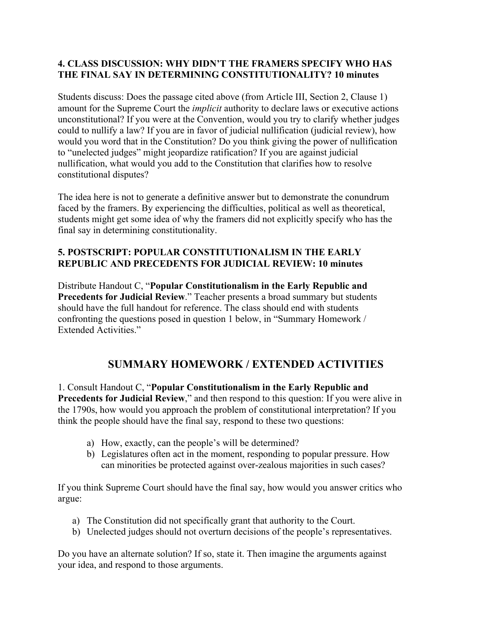#### **4. CLASS DISCUSSION: WHY DIDN'T THE FRAMERS SPECIFY WHO HAS THE FINAL SAY IN DETERMINING CONSTITUTIONALITY? 10 minutes**

Students discuss: Does the passage cited above (from Article III, Section 2, Clause 1) amount for the Supreme Court the *implicit* authority to declare laws or executive actions unconstitutional? If you were at the Convention, would you try to clarify whether judges could to nullify a law? If you are in favor of judicial nullification (judicial review), how would you word that in the Constitution? Do you think giving the power of nullification to "unelected judges" might jeopardize ratification? If you are against judicial nullification, what would you add to the Constitution that clarifies how to resolve constitutional disputes?

The idea here is not to generate a definitive answer but to demonstrate the conundrum faced by the framers. By experiencing the difficulties, political as well as theoretical, students might get some idea of why the framers did not explicitly specify who has the final say in determining constitutionality.

### **5. POSTSCRIPT: POPULAR CONSTITUTIONALISM IN THE EARLY REPUBLIC AND PRECEDENTS FOR JUDICIAL REVIEW: 10 minutes**

Distribute Handout C, "**Popular Constitutionalism in the Early Republic and Precedents for Judicial Review**." Teacher presents a broad summary but students should have the full handout for reference. The class should end with students confronting the questions posed in question 1 below, in "Summary Homework / Extended Activities."

## **SUMMARY HOMEWORK / EXTENDED ACTIVITIES**

1. Consult Handout C, "**Popular Constitutionalism in the Early Republic and Precedents for Judicial Review,"** and then respond to this question: If you were alive in the 1790s, how would you approach the problem of constitutional interpretation? If you think the people should have the final say, respond to these two questions:

- a) How, exactly, can the people's will be determined?
- b) Legislatures often act in the moment, responding to popular pressure. How can minorities be protected against over-zealous majorities in such cases?

If you think Supreme Court should have the final say, how would you answer critics who argue:

- a) The Constitution did not specifically grant that authority to the Court.
- b) Unelected judges should not overturn decisions of the people's representatives.

Do you have an alternate solution? If so, state it. Then imagine the arguments against your idea, and respond to those arguments.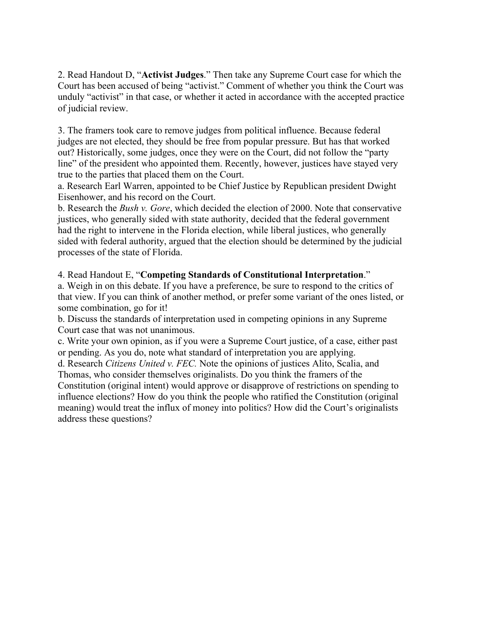2. Read Handout D, "**Activist Judges**." Then take any Supreme Court case for which the Court has been accused of being "activist." Comment of whether you think the Court was unduly "activist" in that case, or whether it acted in accordance with the accepted practice of judicial review.

3. The framers took care to remove judges from political influence. Because federal judges are not elected, they should be free from popular pressure. But has that worked out? Historically, some judges, once they were on the Court, did not follow the "party line" of the president who appointed them. Recently, however, justices have stayed very true to the parties that placed them on the Court.

a. Research Earl Warren, appointed to be Chief Justice by Republican president Dwight Eisenhower, and his record on the Court.

b. Research the *Bush v. Gore*, which decided the election of 2000. Note that conservative justices, who generally sided with state authority, decided that the federal government had the right to intervene in the Florida election, while liberal justices, who generally sided with federal authority, argued that the election should be determined by the judicial processes of the state of Florida.

### 4. Read Handout E, "**Competing Standards of Constitutional Interpretation**."

a. Weigh in on this debate. If you have a preference, be sure to respond to the critics of that view. If you can think of another method, or prefer some variant of the ones listed, or some combination, go for it!

b. Discuss the standards of interpretation used in competing opinions in any Supreme Court case that was not unanimous.

c. Write your own opinion, as if you were a Supreme Court justice, of a case, either past or pending. As you do, note what standard of interpretation you are applying.

d. Research *Citizens United v. FEC.* Note the opinions of justices Alito, Scalia, and Thomas, who consider themselves originalists. Do you think the framers of the Constitution (original intent) would approve or disapprove of restrictions on spending to influence elections? How do you think the people who ratified the Constitution (original meaning) would treat the influx of money into politics? How did the Court's originalists address these questions?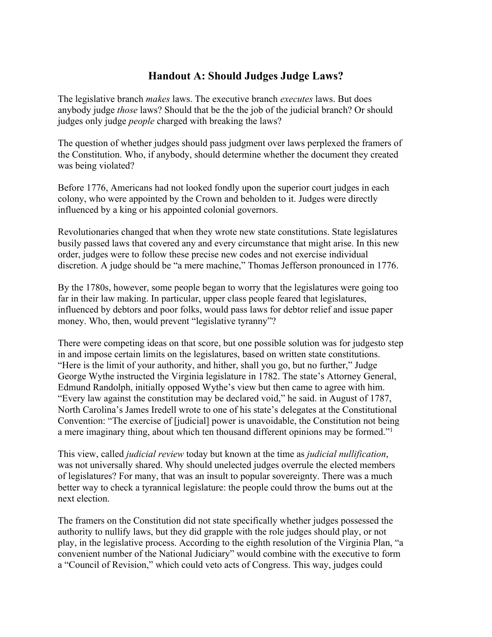## **Handout A: Should Judges Judge Laws?**

The legislative branch *makes* laws. The executive branch *executes* laws. But does anybody judge *those* laws? Should that be the the job of the judicial branch? Or should judges only judge *people* charged with breaking the laws?

The question of whether judges should pass judgment over laws perplexed the framers of the Constitution. Who, if anybody, should determine whether the document they created was being violated?

Before 1776, Americans had not looked fondly upon the superior court judges in each colony, who were appointed by the Crown and beholden to it. Judges were directly influenced by a king or his appointed colonial governors.

Revolutionaries changed that when they wrote new state constitutions. State legislatures busily passed laws that covered any and every circumstance that might arise. In this new order, judges were to follow these precise new codes and not exercise individual discretion. A judge should be "a mere machine," Thomas Jefferson pronounced in 1776.

By the 1780s, however, some people began to worry that the legislatures were going too far in their law making. In particular, upper class people feared that legislatures, influenced by debtors and poor folks, would pass laws for debtor relief and issue paper money. Who, then, would prevent "legislative tyranny"?

There were competing ideas on that score, but one possible solution was for judgesto step in and impose certain limits on the legislatures, based on written state constitutions. "Here is the limit of your authority, and hither, shall you go, but no further," Judge George Wythe instructed the Virginia legislature in 1782. The state's Attorney General, Edmund Randolph, initially opposed Wythe's view but then came to agree with him. "Every law against the constitution may be declared void," he said. in August of 1787, North Carolina's James Iredell wrote to one of his state's delegates at the Constitutional Convention: "The exercise of [judicial] power is unavoidable, the Constitution not being a mere imaginary thing, about which ten thousand different opinions may be formed."<sup>1</sup>

This view, called *judicial review* today but known at the time as *judicial nullification*, was not universally shared. Why should unelected judges overrule the elected members of legislatures? For many, that was an insult to popular sovereignty. There was a much better way to check a tyrannical legislature: the people could throw the bums out at the next election.

The framers on the Constitution did not state specifically whether judges possessed the authority to nullify laws, but they did grapple with the role judges should play, or not play, in the legislative process. According to the eighth resolution of the Virginia Plan, "a convenient number of the National Judiciary" would combine with the executive to form a "Council of Revision," which could veto acts of Congress. This way, judges could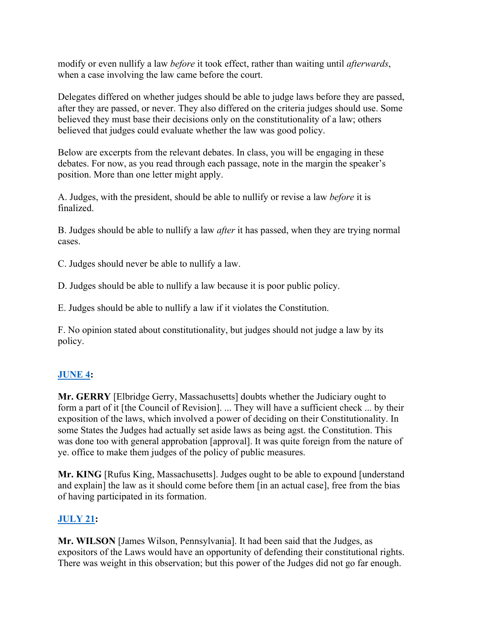modify or even nullify a law *before* it took effect, rather than waiting until *afterwards*, when a case involving the law came before the court.

Delegates differed on whether judges should be able to judge laws before they are passed, after they are passed, or never. They also differed on the criteria judges should use. Some believed they must base their decisions only on the constitutionality of a law; others believed that judges could evaluate whether the law was good policy.

Below are excerpts from the relevant debates. In class, you will be engaging in these debates. For now, as you read through each passage, note in the margin the speaker's position. More than one letter might apply.

A. Judges, with the president, should be able to nullify or revise a law *before* it is finalized.

B. Judges should be able to nullify a law *after* it has passed, when they are trying normal cases.

C. Judges should never be able to nullify a law.

D. Judges should be able to nullify a law because it is poor public policy.

E. Judges should be able to nullify a law if it violates the Constitution.

F. No opinion stated about constitutionality, but judges should not judge a law by its policy.

## **[JUNE 4](http://consource.org/document/james-madisons-notes-of-the-constitutional-convention-1787-6-4/):**

**Mr. GERRY** [Elbridge Gerry, Massachusetts] doubts whether the Judiciary ought to form a part of it [the Council of Revision]. ... They will have a sufficient check ... by their exposition of the laws, which involved a power of deciding on their Constitutionality. In some States the Judges had actually set aside laws as being agst. the Constitution. This was done too with general approbation [approval]. It was quite foreign from the nature of ye. office to make them judges of the policy of public measures.

**Mr. KING** [Rufus King, Massachusetts]. Judges ought to be able to expound [understand and explain] the law as it should come before them [in an actual case], free from the bias of having participated in its formation.

## **[JULY 21](http://consource.org/document/james-madisons-notes-of-the-constitutional-convention-1787-7-21/):**

**Mr. WILSON** [James Wilson, Pennsylvania]. It had been said that the Judges, as expositors of the Laws would have an opportunity of defending their constitutional rights. There was weight in this observation; but this power of the Judges did not go far enough.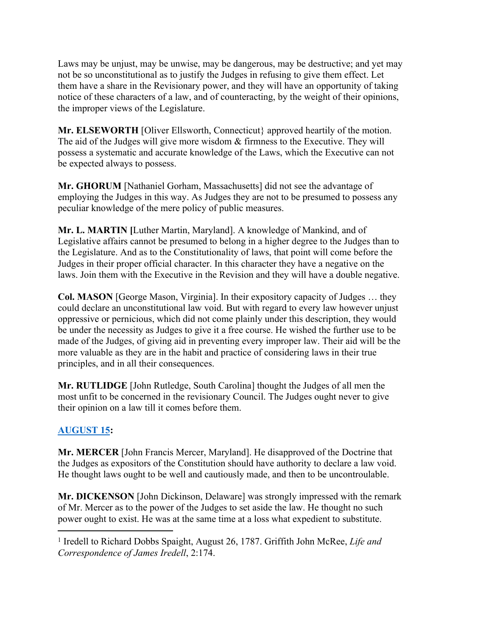Laws may be unjust, may be unwise, may be dangerous, may be destructive; and yet may not be so unconstitutional as to justify the Judges in refusing to give them effect. Let them have a share in the Revisionary power, and they will have an opportunity of taking notice of these characters of a law, and of counteracting, by the weight of their opinions, the improper views of the Legislature.

**Mr. ELSEWORTH** [Oliver Ellsworth, Connecticut} approved heartily of the motion. The aid of the Judges will give more wisdom & firmness to the Executive. They will possess a systematic and accurate knowledge of the Laws, which the Executive can not be expected always to possess.

**Mr. GHORUM** [Nathaniel Gorham, Massachusetts] did not see the advantage of employing the Judges in this way. As Judges they are not to be presumed to possess any peculiar knowledge of the mere policy of public measures.

**Mr. L. MARTIN [**Luther Martin, Maryland]. A knowledge of Mankind, and of Legislative affairs cannot be presumed to belong in a higher degree to the Judges than to the Legislature. And as to the Constitutionality of laws, that point will come before the Judges in their proper official character. In this character they have a negative on the laws. Join them with the Executive in the Revision and they will have a double negative.

**Col. MASON** [George Mason, Virginia]. In their expository capacity of Judges … they could declare an unconstitutional law void. But with regard to every law however unjust oppressive or pernicious, which did not come plainly under this description, they would be under the necessity as Judges to give it a free course. He wished the further use to be made of the Judges, of giving aid in preventing every improper law. Their aid will be the more valuable as they are in the habit and practice of considering laws in their true principles, and in all their consequences.

**Mr. RUTLIDGE** [John Rutledge, South Carolina] thought the Judges of all men the most unfit to be concerned in the revisionary Council. The Judges ought never to give their opinion on a law till it comes before them.

## **[AUGUST 15](http://consource.org/document/james-madisons-notes-of-the-constitutional-convention-1787-8-15/):**

**Mr. MERCER** [John Francis Mercer, Maryland]. He disapproved of the Doctrine that the Judges as expositors of the Constitution should have authority to declare a law void. He thought laws ought to be well and cautiously made, and then to be uncontroulable.

**Mr. DICKENSON** [John Dickinson, Delaware] was strongly impressed with the remark of Mr. Mercer as to the power of the Judges to set aside the law. He thought no such power ought to exist. He was at the same time at a loss what expedient to substitute.

<sup>&</sup>lt;sup>1</sup> Iredell to Richard Dobbs Spaight, August 26, 1787. Griffith John McRee, Life and *Correspondence of James Iredell*, 2:174.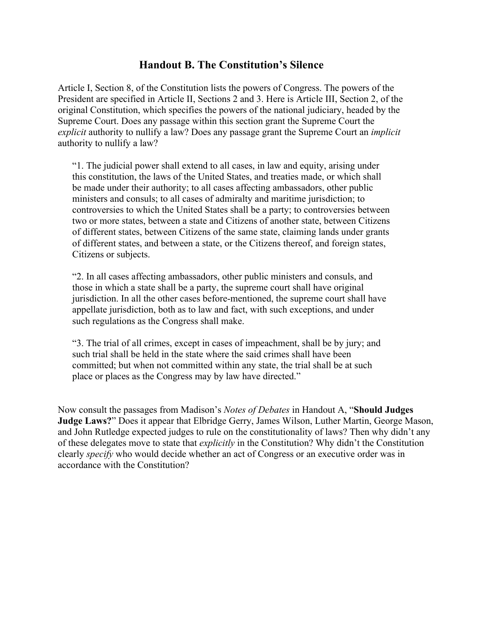## **Handout B. The Constitution's Silence**

Article I, Section 8, of the Constitution lists the powers of Congress. The powers of the President are specified in Article II, Sections 2 and 3. Here is Article III, Section 2, of the original Constitution, which specifies the powers of the national judiciary, headed by the Supreme Court. Does any passage within this section grant the Supreme Court the *explicit* authority to nullify a law? Does any passage grant the Supreme Court an *implicit* authority to nullify a law?

"1. The judicial power shall extend to all cases, in law and equity, arising under this constitution, the laws of the United States, and treaties made, or which shall be made under their authority; to all cases affecting ambassadors, other public ministers and consuls; to all cases of admiralty and maritime jurisdiction; to controversies to which the United States shall be a party; to controversies between two or more states, between a state and Citizens of another state, between Citizens of different states, between Citizens of the same state, claiming lands under grants of different states, and between a state, or the Citizens thereof, and foreign states, Citizens or subjects.

"2. In all cases affecting ambassadors, other public ministers and consuls, and those in which a state shall be a party, the supreme court shall have original jurisdiction. In all the other cases before-mentioned, the supreme court shall have appellate jurisdiction, both as to law and fact, with such exceptions, and under such regulations as the Congress shall make.

"3. The trial of all crimes, except in cases of impeachment, shall be by jury; and such trial shall be held in the state where the said crimes shall have been committed; but when not committed within any state, the trial shall be at such place or places as the Congress may by law have directed."

Now consult the passages from Madison's *Notes of Debates* in Handout A, "**Should Judges Judge Laws?**" Does it appear that Elbridge Gerry, James Wilson, Luther Martin, George Mason, and John Rutledge expected judges to rule on the constitutionality of laws? Then why didn't any of these delegates move to state that *explicitly* in the Constitution? Why didn't the Constitution clearly *specify* who would decide whether an act of Congress or an executive order was in accordance with the Constitution?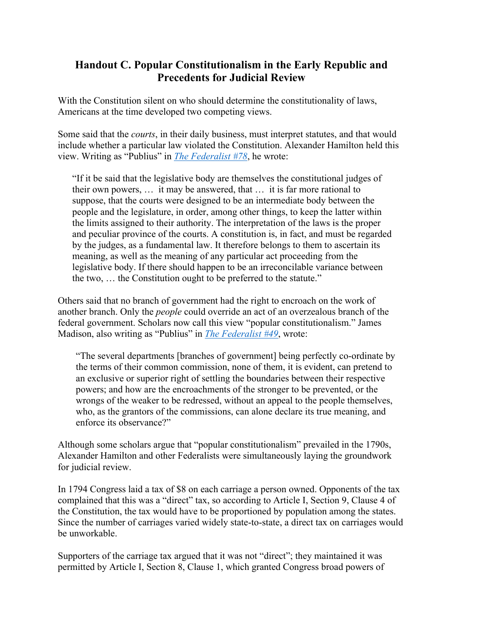## **Handout C. Popular Constitutionalism in the Early Republic and Precedents for Judicial Review**

With the Constitution silent on who should determine the constitutionality of laws, Americans at the time developed two competing views.

Some said that the *courts*, in their daily business, must interpret statutes, and that would include whether a particular law violated the Constitution. Alexander Hamilton held this view. Writing as "Publius" in *[The Federalist #78](http://consource.org/document/the-federalist-no-78-1788-6-14/)*, he wrote:

"If it be said that the legislative body are themselves the constitutional judges of their own powers, … it may be answered, that … it is far more rational to suppose, that the courts were designed to be an intermediate body between the people and the legislature, in order, among other things, to keep the latter within the limits assigned to their authority. The interpretation of the laws is the proper and peculiar province of the courts. A constitution is, in fact, and must be regarded by the judges, as a fundamental law. It therefore belongs to them to ascertain its meaning, as well as the meaning of any particular act proceeding from the legislative body. If there should happen to be an irreconcilable variance between the two, … the Constitution ought to be preferred to the statute."

Others said that no branch of government had the right to encroach on the work of another branch. Only the *people* could override an act of an overzealous branch of the federal government. Scholars now call this view "popular constitutionalism." James Madison, also writing as "Publius" in *[The Federalist #49](http://consource.org/document/the-federalist-no-49-1788-2-2/)*, wrote:

"The several departments [branches of government] being perfectly co-ordinate by the terms of their common commission, none of them, it is evident, can pretend to an exclusive or superior right of settling the boundaries between their respective powers; and how are the encroachments of the stronger to be prevented, or the wrongs of the weaker to be redressed, without an appeal to the people themselves, who, as the grantors of the commissions, can alone declare its true meaning, and enforce its observance?"

Although some scholars argue that "popular constitutionalism" prevailed in the 1790s, Alexander Hamilton and other Federalists were simultaneously laying the groundwork for judicial review.

In 1794 Congress laid a tax of \$8 on each carriage a person owned. Opponents of the tax complained that this was a "direct" tax, so according to Article I, Section 9, Clause 4 of the Constitution, the tax would have to be proportioned by population among the states. Since the number of carriages varied widely state-to-state, a direct tax on carriages would be unworkable.

Supporters of the carriage tax argued that it was not "direct"; they maintained it was permitted by Article I, Section 8, Clause 1, which granted Congress broad powers of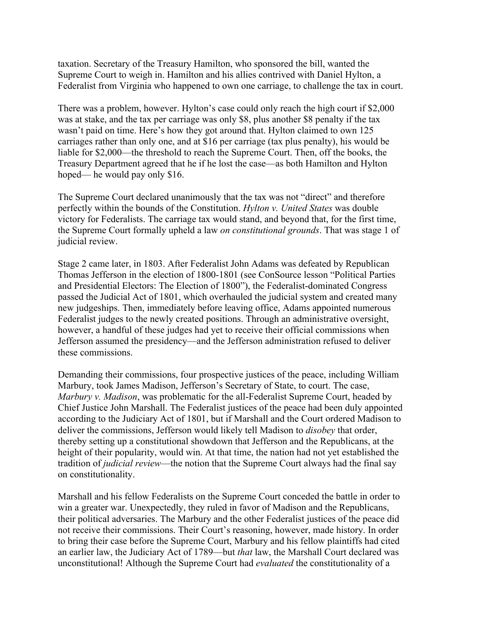taxation. Secretary of the Treasury Hamilton, who sponsored the bill, wanted the Supreme Court to weigh in. Hamilton and his allies contrived with Daniel Hylton, a Federalist from Virginia who happened to own one carriage, to challenge the tax in court.

There was a problem, however. Hylton's case could only reach the high court if \$2,000 was at stake, and the tax per carriage was only \$8, plus another \$8 penalty if the tax wasn't paid on time. Here's how they got around that. Hylton claimed to own 125 carriages rather than only one, and at \$16 per carriage (tax plus penalty), his would be liable for \$2,000—the threshold to reach the Supreme Court. Then, off the books, the Treasury Department agreed that he if he lost the case—as both Hamilton and Hylton hoped— he would pay only \$16.

The Supreme Court declared unanimously that the tax was not "direct" and therefore perfectly within the bounds of the Constitution. *Hylton v. United States* was double victory for Federalists. The carriage tax would stand, and beyond that, for the first time, the Supreme Court formally upheld a law *on constitutional grounds*. That was stage 1 of judicial review.

Stage 2 came later, in 1803. After Federalist John Adams was defeated by Republican Thomas Jefferson in the election of 1800-1801 (see ConSource lesson "Political Parties and Presidential Electors: The Election of 1800"), the Federalist-dominated Congress passed the Judicial Act of 1801, which overhauled the judicial system and created many new judgeships. Then, immediately before leaving office, Adams appointed numerous Federalist judges to the newly created positions. Through an administrative oversight, however, a handful of these judges had yet to receive their official commissions when Jefferson assumed the presidency—and the Jefferson administration refused to deliver these commissions.

Demanding their commissions, four prospective justices of the peace, including William Marbury, took James Madison, Jefferson's Secretary of State, to court. The case, *Marbury v. Madison*, was problematic for the all-Federalist Supreme Court, headed by Chief Justice John Marshall. The Federalist justices of the peace had been duly appointed according to the Judiciary Act of 1801, but if Marshall and the Court ordered Madison to deliver the commissions, Jefferson would likely tell Madison to *disobey* that order, thereby setting up a constitutional showdown that Jefferson and the Republicans, at the height of their popularity, would win. At that time, the nation had not yet established the tradition of *judicial review*—the notion that the Supreme Court always had the final say on constitutionality.

Marshall and his fellow Federalists on the Supreme Court conceded the battle in order to win a greater war. Unexpectedly, they ruled in favor of Madison and the Republicans, their political adversaries. The Marbury and the other Federalist justices of the peace did not receive their commissions. Their Court's reasoning, however, made history. In order to bring their case before the Supreme Court, Marbury and his fellow plaintiffs had cited an earlier law, the Judiciary Act of 1789—but *that* law, the Marshall Court declared was unconstitutional! Although the Supreme Court had *evaluated* the constitutionality of a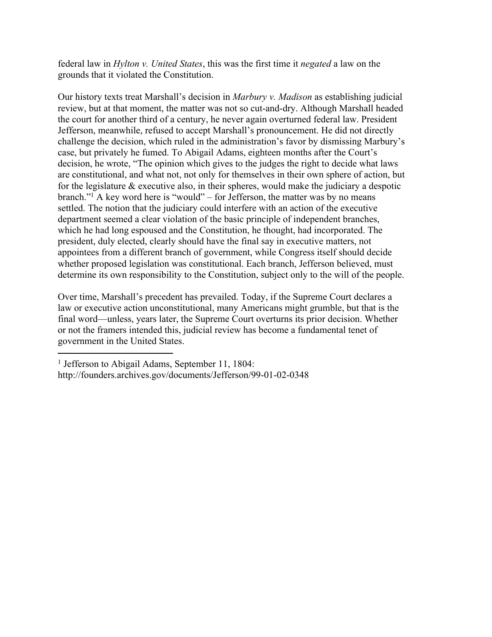federal law in *Hylton v. United States*, this was the first time it *negated* a law on the grounds that it violated the Constitution.

Our history texts treat Marshall's decision in *Marbury v. Madison* as establishing judicial review, but at that moment, the matter was not so cut-and-dry. Although Marshall headed the court for another third of a century, he never again overturned federal law. President Jefferson, meanwhile, refused to accept Marshall's pronouncement. He did not directly challenge the decision, which ruled in the administration's favor by dismissing Marbury's case, but privately he fumed. To Abigail Adams, eighteen months after the Court's decision, he wrote, "The opinion which gives to the judges the right to decide what laws are constitutional, and what not, not only for themselves in their own sphere of action, but for the legislature & executive also, in their spheres, would make the judiciary a despotic branch."<sup>1</sup> A key word here is "would" – for Jefferson, the matter was by no means settled. The notion that the judiciary could interfere with an action of the executive department seemed a clear violation of the basic principle of independent branches, which he had long espoused and the Constitution, he thought, had incorporated. The president, duly elected, clearly should have the final say in executive matters, not appointees from a different branch of government, while Congress itself should decide whether proposed legislation was constitutional. Each branch, Jefferson believed, must determine its own responsibility to the Constitution, subject only to the will of the people.

Over time, Marshall's precedent has prevailed. Today, if the Supreme Court declares a law or executive action unconstitutional, many Americans might grumble, but that is the final word—unless, years later, the Supreme Court overturns its prior decision. Whether or not the framers intended this, judicial review has become a fundamental tenet of government in the United States.

<sup>&</sup>lt;sup>1</sup> Jefferson to Abigail Adams, September 11, 1804: http://founders.archives.gov/documents/Jefferson/99-01-02-0348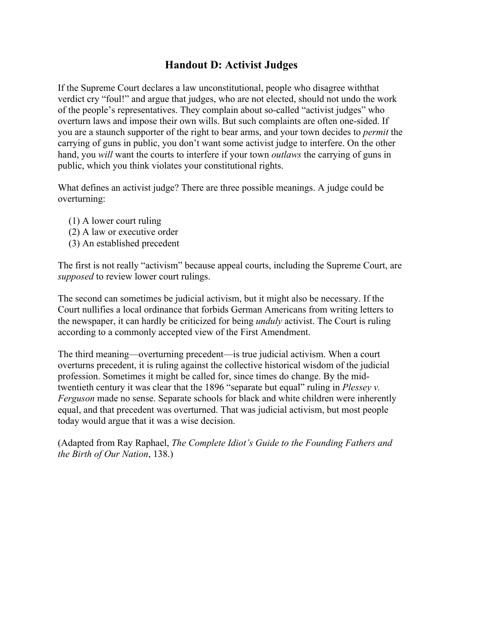## **Handout D: Activist Judges**

If the Supreme Court declares a law unconstitutional, people who disagree withthat verdict cry "foul!" and argue that judges, who are not elected, should not undo the work of the people's representatives. They complain about so-called "activist judges" who overturn laws and impose their own wills. But such complaints are often one-sided. If you are a staunch supporter of the right to bear arms, and your town decides to *permit* the carrying of guns in public, you don't want some activist judge to interfere. On the other hand, you *will* want the courts to interfere if your town *outlaws* the carrying of guns in public, which you think violates your constitutional rights.

What defines an activist judge? There are three possible meanings. A judge could be overturning:

- (1) A lower court ruling
- (2) A law or executive order
- (3) An established precedent

The first is not really "activism" because appeal courts, including the Supreme Court, are *supposed* to review lower court rulings.

The second can sometimes be judicial activism, but it might also be necessary. If the Court nullifies a local ordinance that forbids German Americans from writing letters to the newspaper, it can hardly be criticized for being *unduly* activist. The Court is ruling according to a commonly accepted view of the First Amendment.

The third meaning—overturning precedent—is true judicial activism. When a court overturns precedent, it is ruling against the collective historical wisdom of the judicial profession. Sometimes it might be called for, since times do change. By the midtwentieth century it was clear that the 1896 "separate but equal" ruling in *Plessey v. Ferguson* made no sense. Separate schools for black and white children were inherently equal, and that precedent was overturned. That was judicial activism, but most people today would argue that it was a wise decision.

(Adapted from Ray Raphael, *The Complete Idiot's Guide to the Founding Fathers and the Birth of Our Nation*, 138.)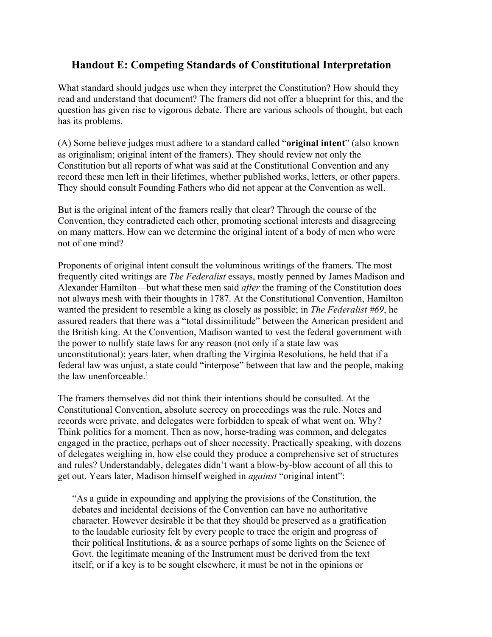## **Handout E: Competing Standards of Constitutional Interpretation**

What standard should judges use when they interpret the Constitution? How should they read and understand that document? The framers did not offer a blueprint for this, and the question has given rise to vigorous debate. There are various schools of thought, but each has its problems.

(A) Some believe judges must adhere to a standard called "**original intent**" (also known as originalism; original intent of the framers). They should review not only the Constitution but all reports of what was said at the Constitutional Convention and any record these men left in their lifetimes, whether published works, letters, or other papers. They should consult Founding Fathers who did not appear at the Convention as well.

But is the original intent of the framers really that clear? Through the course of the Convention, they contradicted each other, promoting sectional interests and disagreeing on many matters. How can we determine the original intent of a body of men who were not of one mind?

Proponents of original intent consult the voluminous writings of the framers. The most frequently cited writings are *The Federalist* essays, mostly penned by James Madison and Alexander Hamilton—but what these men said *after* the framing of the Constitution does not always mesh with their thoughts in 1787. At the Constitutional Convention, Hamilton wanted the president to resemble a king as closely as possible; in *The Federalist #69*, he assured readers that there was a "total dissimilitude" between the American president and the British king. At the Convention, Madison wanted to vest the federal government with the power to nullify state laws for any reason (not only if a state law was unconstitutional); years later, when drafting the Virginia Resolutions, he held that if a federal law was unjust, a state could "interpose" between that law and the people, making the law unenforceable  $<sup>1</sup>$ </sup>

The framers themselves did not think their intentions should be consulted. At the Constitutional Convention, absolute secrecy on proceedings was the rule. Notes and records were private, and delegates were forbidden to speak of what went on. Why? Think politics for a moment. Then as now, horse-trading was common, and delegates engaged in the practice, perhaps out of sheer necessity. Practically speaking, with dozens of delegates weighing in, how else could they produce a comprehensive set of structures and rules? Understandably, delegates didn't want a blow-by-blow account of all this to get out. Years later, Madison himself weighed in *against* "original intent":

"As a guide in expounding and applying the provisions of the Constitution, the debates and incidental decisions of the Convention can have no authoritative character. However desirable it be that they should be preserved as a gratification to the laudable curiosity felt by every people to trace the origin and progress of their political Institutions, & as a source perhaps of some lights on the Science of Govt. the legitimate meaning of the Instrument must be derived from the text itself; or if a key is to be sought elsewhere, it must be not in the opinions or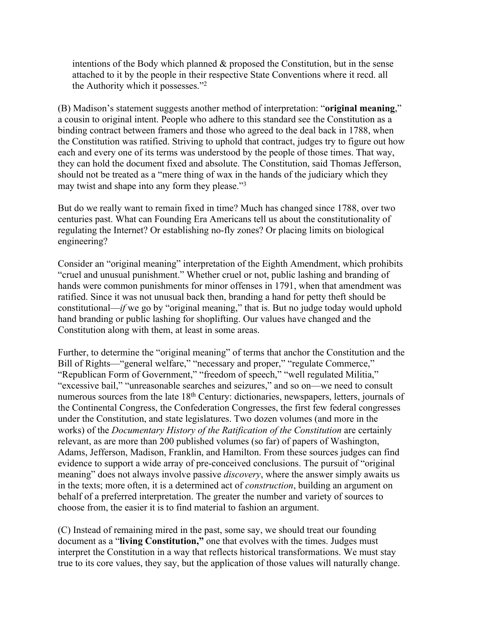intentions of the Body which planned  $\&$  proposed the Constitution, but in the sense attached to it by the people in their respective State Conventions where it recd. all the Authority which it possesses."<sup>2</sup>

(B) Madison's statement suggests another method of interpretation: "**original meaning**," a cousin to original intent. People who adhere to this standard see the Constitution as a binding contract between framers and those who agreed to the deal back in 1788, when the Constitution was ratified. Striving to uphold that contract, judges try to figure out how each and every one of its terms was understood by the people of those times. That way, they can hold the document fixed and absolute. The Constitution, said Thomas Jefferson, should not be treated as a "mere thing of wax in the hands of the judiciary which they may twist and shape into any form they please."<sup>3</sup>

But do we really want to remain fixed in time? Much has changed since 1788, over two centuries past. What can Founding Era Americans tell us about the constitutionality of regulating the Internet? Or establishing no-fly zones? Or placing limits on biological engineering?

Consider an "original meaning" interpretation of the Eighth Amendment, which prohibits "cruel and unusual punishment." Whether cruel or not, public lashing and branding of hands were common punishments for minor offenses in 1791, when that amendment was ratified. Since it was not unusual back then, branding a hand for petty theft should be constitutional—*if* we go by "original meaning," that is. But no judge today would uphold hand branding or public lashing for shoplifting. Our values have changed and the Constitution along with them, at least in some areas.

Further, to determine the "original meaning" of terms that anchor the Constitution and the Bill of Rights—"general welfare," "necessary and proper," "regulate Commerce," "Republican Form of Government," "freedom of speech," "well regulated Militia," "excessive bail," "unreasonable searches and seizures," and so on—we need to consult numerous sources from the late 18<sup>th</sup> Century: dictionaries, newspapers, letters, journals of the Continental Congress, the Confederation Congresses, the first few federal congresses under the Constitution, and state legislatures. Two dozen volumes (and more in the works) of the *Documentary History of the Ratification of the Constitution* are certainly relevant, as are more than 200 published volumes (so far) of papers of Washington, Adams, Jefferson, Madison, Franklin, and Hamilton. From these sources judges can find evidence to support a wide array of pre-conceived conclusions. The pursuit of "original meaning" does not always involve passive *discovery*, where the answer simply awaits us in the texts; more often, it is a determined act of *construction*, building an argument on behalf of a preferred interpretation. The greater the number and variety of sources to choose from, the easier it is to find material to fashion an argument.

(C) Instead of remaining mired in the past, some say, we should treat our founding document as a "**living Constitution,"** one that evolves with the times. Judges must interpret the Constitution in a way that reflects historical transformations. We must stay true to its core values, they say, but the application of those values will naturally change.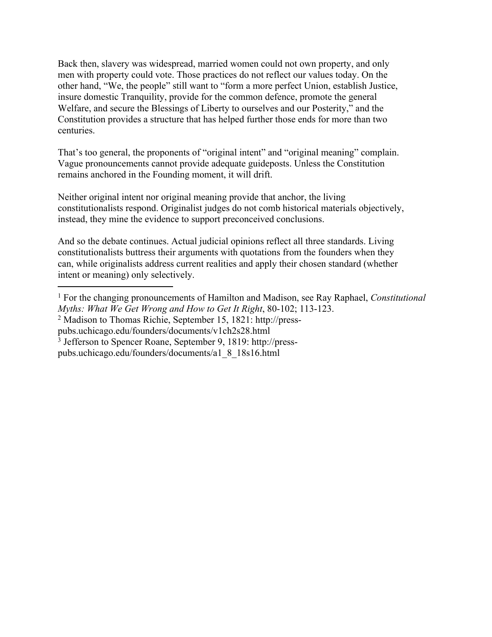Back then, slavery was widespread, married women could not own property, and only men with property could vote. Those practices do not reflect our values today. On the other hand, "We, the people" still want to "form a more perfect Union, establish Justice, insure domestic Tranquility, provide for the common defence, promote the general Welfare, and secure the Blessings of Liberty to ourselves and our Posterity," and the Constitution provides a structure that has helped further those ends for more than two centuries.

That's too general, the proponents of "original intent" and "original meaning" complain. Vague pronouncements cannot provide adequate guideposts. Unless the Constitution remains anchored in the Founding moment, it will drift.

Neither original intent nor original meaning provide that anchor, the living constitutionalists respond. Originalist judges do not comb historical materials objectively, instead, they mine the evidence to support preconceived conclusions.

And so the debate continues. Actual judicial opinions reflect all three standards. Living constitutionalists buttress their arguments with quotations from the founders when they can, while originalists address current realities and apply their chosen standard (whether intent or meaning) only selectively.

<sup>1</sup> For the changing pronouncements of Hamilton and Madison, see Ray Raphael, *Constitutional Myths: What We Get Wrong and How to Get It Right*, 80-102; 113-123.

<sup>2</sup> Madison to Thomas Richie, September 15, 1821: http://press-

pubs.uchicago.edu/founders/documents/v1ch2s28.html

<sup>3</sup> Jefferson to Spencer Roane, September 9, 1819: http://press-

pubs.uchicago.edu/founders/documents/a1\_8\_18s16.html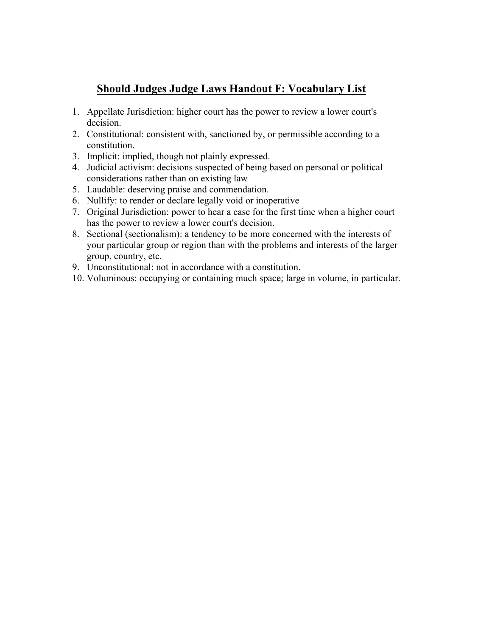## **Should Judges Judge Laws Handout F: Vocabulary List**

- 1. Appellate Jurisdiction: higher court has the power to review a lower court's decision.
- 2. Constitutional: consistent with, sanctioned by, or permissible according to a constitution.
- 3. Implicit: implied, though not plainly expressed.
- 4. Judicial activism: decisions suspected of being based on personal or political considerations rather than on existing law
- 5. Laudable: deserving praise and commendation.
- 6. Nullify: to render or declare legally void or inoperative
- 7. Original Jurisdiction: power to hear a case for the first time when a higher court has the power to review a lower court's decision.
- 8. Sectional (sectionalism): a tendency to be more concerned with the interests of your particular group or region than with the problems and interests of the larger group, country, etc.
- 9. Unconstitutional: not in accordance with a constitution.
- 10. Voluminous: occupying or containing much space; large in volume, in particular.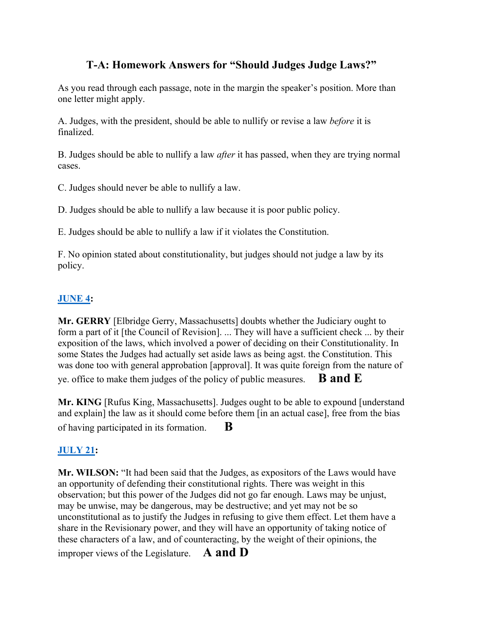## **T-A: Homework Answers for "Should Judges Judge Laws?"**

As you read through each passage, note in the margin the speaker's position. More than one letter might apply.

A. Judges, with the president, should be able to nullify or revise a law *before* it is finalized.

B. Judges should be able to nullify a law *after* it has passed, when they are trying normal cases.

C. Judges should never be able to nullify a law.

D. Judges should be able to nullify a law because it is poor public policy.

E. Judges should be able to nullify a law if it violates the Constitution.

F. No opinion stated about constitutionality, but judges should not judge a law by its policy.

## **[JUNE 4](http://consource.org/document/james-madisons-notes-of-the-constitutional-convention-1787-6-4/):**

**Mr. GERRY** [Elbridge Gerry, Massachusetts] doubts whether the Judiciary ought to form a part of it [the Council of Revision]. ... They will have a sufficient check ... by their exposition of the laws, which involved a power of deciding on their Constitutionality. In some States the Judges had actually set aside laws as being agst. the Constitution. This was done too with general approbation [approval]. It was quite foreign from the nature of ye. office to make them judges of the policy of public measures. **B and E**

**Mr. KING** [Rufus King, Massachusetts]. Judges ought to be able to expound [understand and explain] the law as it should come before them [in an actual case], free from the bias of having participated in its formation. **B**

## **[JULY 21](http://consource.org/document/james-madisons-notes-of-the-constitutional-convention-1787-7-21/):**

**Mr. WILSON:** "It had been said that the Judges, as expositors of the Laws would have an opportunity of defending their constitutional rights. There was weight in this observation; but this power of the Judges did not go far enough. Laws may be unjust, may be unwise, may be dangerous, may be destructive; and yet may not be so unconstitutional as to justify the Judges in refusing to give them effect. Let them have a share in the Revisionary power, and they will have an opportunity of taking notice of these characters of a law, and of counteracting, by the weight of their opinions, the improper views of the Legislature. **A and D**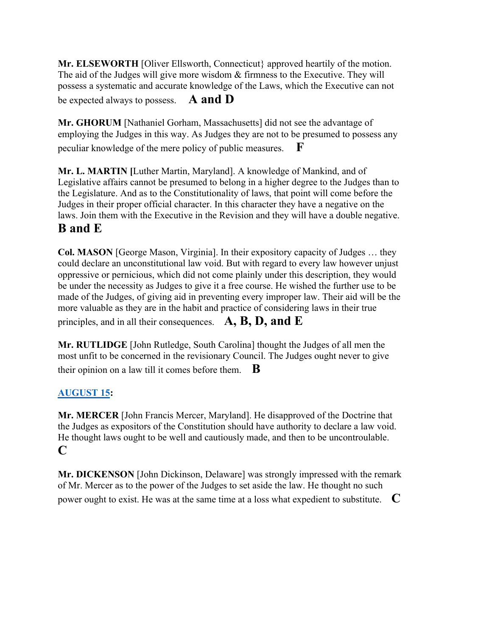**Mr. ELSEWORTH** [Oliver Ellsworth, Connecticut} approved heartily of the motion. The aid of the Judges will give more wisdom & firmness to the Executive. They will possess a systematic and accurate knowledge of the Laws, which the Executive can not be expected always to possess. **A and D**

**Mr. GHORUM** [Nathaniel Gorham, Massachusetts] did not see the advantage of employing the Judges in this way. As Judges they are not to be presumed to possess any peculiar knowledge of the mere policy of public measures. **F** 

**Mr. L. MARTIN [**Luther Martin, Maryland]. A knowledge of Mankind, and of Legislative affairs cannot be presumed to belong in a higher degree to the Judges than to the Legislature. And as to the Constitutionality of laws, that point will come before the Judges in their proper official character. In this character they have a negative on the laws. Join them with the Executive in the Revision and they will have a double negative.

# **B and E**

**Col. MASON** [George Mason, Virginia]. In their expository capacity of Judges … they could declare an unconstitutional law void. But with regard to every law however unjust oppressive or pernicious, which did not come plainly under this description, they would be under the necessity as Judges to give it a free course. He wished the further use to be made of the Judges, of giving aid in preventing every improper law. Their aid will be the more valuable as they are in the habit and practice of considering laws in their true principles, and in all their consequences. **A, B, D, and E**

**Mr. RUTLIDGE** [John Rutledge, South Carolina] thought the Judges of all men the most unfit to be concerned in the revisionary Council. The Judges ought never to give their opinion on a law till it comes before them.  $\mathbf{B}$ 

## **[AUGUST 15](http://consource.org/document/james-madisons-notes-of-the-constitutional-convention-1787-8-15/):**

**Mr. MERCER** [John Francis Mercer, Maryland]. He disapproved of the Doctrine that the Judges as expositors of the Constitution should have authority to declare a law void. He thought laws ought to be well and cautiously made, and then to be uncontroulable. **C**

**Mr. DICKENSON** [John Dickinson, Delaware] was strongly impressed with the remark of Mr. Mercer as to the power of the Judges to set aside the law. He thought no such power ought to exist. He was at the same time at a loss what expedient to substitute. **C**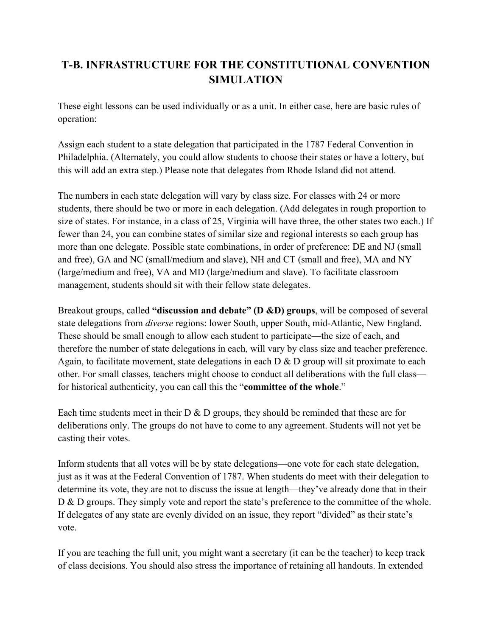# **T-B. INFRASTRUCTURE FOR THE CONSTITUTIONAL CONVENTION SIMULATION**

These eight lessons can be used individually or as a unit. In either case, here are basic rules of operation:

Assign each student to a state delegation that participated in the 1787 Federal Convention in Philadelphia. (Alternately, you could allow students to choose their states or have a lottery, but this will add an extra step.) Please note that delegates from Rhode Island did not attend.

The numbers in each state delegation will vary by class size. For classes with 24 or more students, there should be two or more in each delegation. (Add delegates in rough proportion to size of states. For instance, in a class of 25, Virginia will have three, the other states two each.) If fewer than 24, you can combine states of similar size and regional interests so each group has more than one delegate. Possible state combinations, in order of preference: DE and NJ (small and free), GA and NC (small/medium and slave), NH and CT (small and free), MA and NY (large/medium and free), VA and MD (large/medium and slave). To facilitate classroom management, students should sit with their fellow state delegates.

Breakout groups, called **"discussion and debate" (D &D) groups**, will be composed of several state delegations from *diverse* regions: lower South, upper South, mid-Atlantic, New England. These should be small enough to allow each student to participate—the size of each, and therefore the number of state delegations in each, will vary by class size and teacher preference. Again, to facilitate movement, state delegations in each  $D & D$  group will sit proximate to each other. For small classes, teachers might choose to conduct all deliberations with the full class for historical authenticity, you can call this the "**committee of the whole**."

Each time students meet in their  $D \& D$  groups, they should be reminded that these are for deliberations only. The groups do not have to come to any agreement. Students will not yet be casting their votes.

Inform students that all votes will be by state delegations—one vote for each state delegation, just as it was at the Federal Convention of 1787. When students do meet with their delegation to determine its vote, they are not to discuss the issue at length—they've already done that in their D & D groups. They simply vote and report the state's preference to the committee of the whole. If delegates of any state are evenly divided on an issue, they report "divided" as their state's vote.

If you are teaching the full unit, you might want a secretary (it can be the teacher) to keep track of class decisions. You should also stress the importance of retaining all handouts. In extended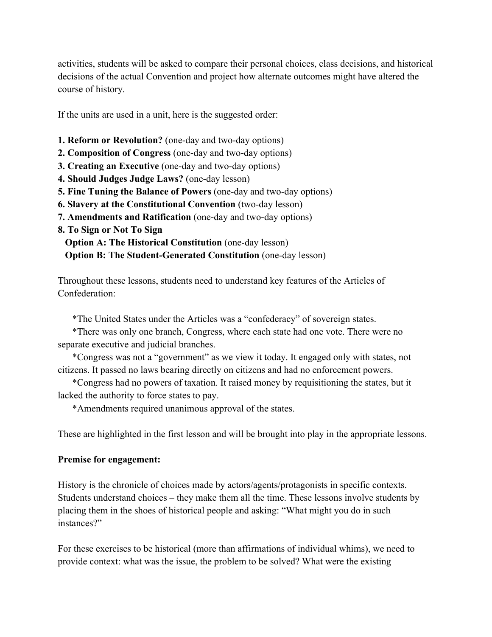activities, students will be asked to compare their personal choices, class decisions, and historical decisions of the actual Convention and project how alternate outcomes might have altered the course of history.

If the units are used in a unit, here is the suggested order:

- **1. Reform or Revolution?** (one-day and two-day options)
- **2. Composition of Congress** (one-day and two-day options)
- **3. Creating an Executive** (one-day and two-day options)
- **4. Should Judges Judge Laws?** (one-day lesson)
- **5. Fine Tuning the Balance of Powers** (one-day and two-day options)
- **6. Slavery at the Constitutional Convention** (two-day lesson)
- **7. Amendments and Ratification** (one-day and two-day options)
- **8. To Sign or Not To Sign**

**Option A: The Historical Constitution** (one-day lesson) **Option B: The Student-Generated Constitution** (one-day lesson)

Throughout these lessons, students need to understand key features of the Articles of Confederation:

\*The United States under the Articles was a "confederacy" of sovereign states.

\*There was only one branch, Congress, where each state had one vote. There were no separate executive and judicial branches.

\*Congress was not a "government" as we view it today. It engaged only with states, not citizens. It passed no laws bearing directly on citizens and had no enforcement powers.

\*Congress had no powers of taxation. It raised money by requisitioning the states, but it lacked the authority to force states to pay.

\*Amendments required unanimous approval of the states.

These are highlighted in the first lesson and will be brought into play in the appropriate lessons.

### **Premise for engagement:**

History is the chronicle of choices made by actors/agents/protagonists in specific contexts. Students understand choices – they make them all the time. These lessons involve students by placing them in the shoes of historical people and asking: "What might you do in such instances?"

For these exercises to be historical (more than affirmations of individual whims), we need to provide context: what was the issue, the problem to be solved? What were the existing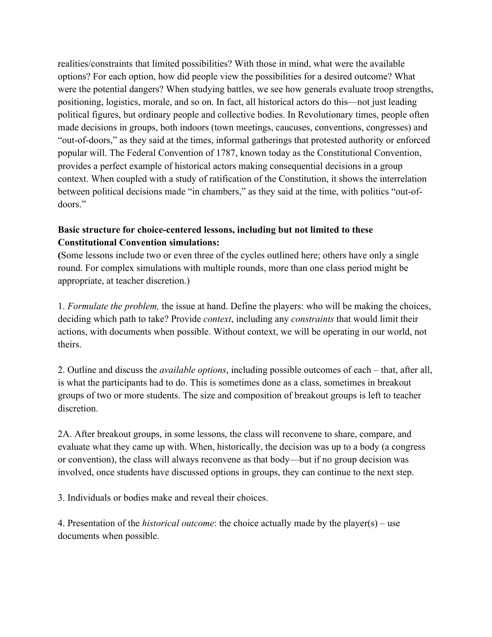realities/constraints that limited possibilities? With those in mind, what were the available options? For each option, how did people view the possibilities for a desired outcome? What were the potential dangers? When studying battles, we see how generals evaluate troop strengths, positioning, logistics, morale, and so on. In fact, all historical actors do this—not just leading political figures, but ordinary people and collective bodies. In Revolutionary times, people often made decisions in groups, both indoors (town meetings, caucuses, conventions, congresses) and "out-of-doors," as they said at the times, informal gatherings that protested authority or enforced popular will. The Federal Convention of 1787, known today as the Constitutional Convention, provides a perfect example of historical actors making consequential decisions in a group context. When coupled with a study of ratification of the Constitution, it shows the interrelation between political decisions made "in chambers," as they said at the time, with politics "out-ofdoors."

## **Basic structure for choice-centered lessons, including but not limited to these Constitutional Convention simulations:**

**(**Some lessons include two or even three of the cycles outlined here; others have only a single round. For complex simulations with multiple rounds, more than one class period might be appropriate, at teacher discretion.)

1. *Formulate the problem,* the issue at hand. Define the players: who will be making the choices, deciding which path to take? Provide *context*, including any *constraints* that would limit their actions, with documents when possible. Without context, we will be operating in our world, not theirs.

2. Outline and discuss the *available options*, including possible outcomes of each – that, after all, is what the participants had to do. This is sometimes done as a class, sometimes in breakout groups of two or more students. The size and composition of breakout groups is left to teacher discretion.

2A. After breakout groups, in some lessons, the class will reconvene to share, compare, and evaluate what they came up with. When, historically, the decision was up to a body (a congress or convention), the class will always reconvene as that body—but if no group decision was involved, once students have discussed options in groups, they can continue to the next step.

3. Individuals or bodies make and reveal their choices.

4. Presentation of the *historical outcome*: the choice actually made by the player(s) – use documents when possible.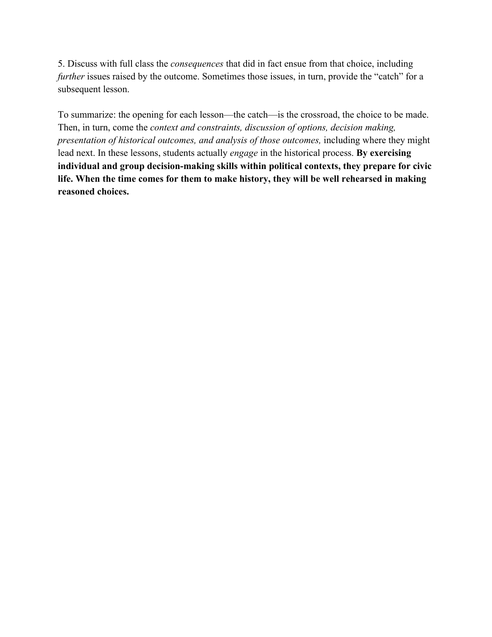5. Discuss with full class the *consequences* that did in fact ensue from that choice, including *further* issues raised by the outcome. Sometimes those issues, in turn, provide the "catch" for a subsequent lesson.

To summarize: the opening for each lesson—the catch—is the crossroad, the choice to be made. Then, in turn, come the *context and constraints, discussion of options, decision making, presentation of historical outcomes, and analysis of those outcomes,* including where they might lead next. In these lessons, students actually *engage* in the historical process. **By exercising individual and group decision-making skills within political contexts, they prepare for civic life. When the time comes for them to make history, they will be well rehearsed in making reasoned choices.**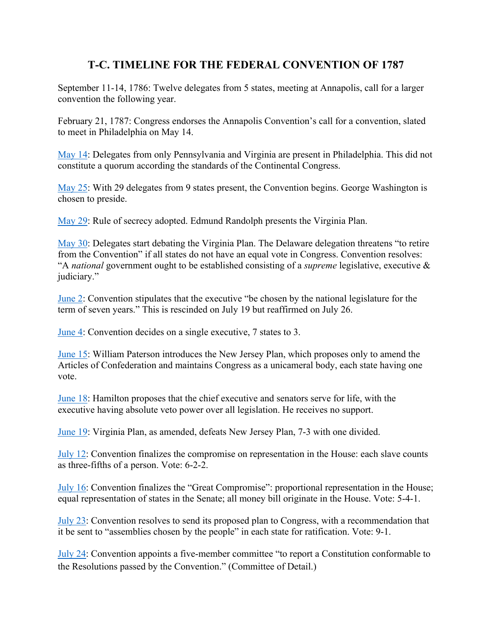## **T-C. TIMELINE FOR THE FEDERAL CONVENTION OF 1787**

September 11-14, 1786: Twelve delegates from 5 states, meeting at Annapolis, call for a larger convention the following year.

February 21, 1787: Congress endorses the Annapolis Convention's call for a convention, slated to meet in Philadelphia on May 14.

[May 14:](http://consource.org/document/diary-entry-by-george-washington-1787-5-14/) Delegates from only Pennsylvania and Virginia are present in Philadelphia. This did not constitute a quorum according the standards of the Continental Congress.

[May 25:](http://consource.org/document/james-madisons-notes-of-the-constitutional-convention-1787-5-25/) With 29 delegates from 9 states present, the Convention begins. George Washington is chosen to preside.

[May 29:](http://consource.org/document/james-madisons-notes-of-the-constitutional-convention-1787-5-29/) Rule of secrecy adopted. Edmund Randolph presents the Virginia Plan.

[May 30:](http://consource.org/document/james-madisons-notes-of-the-constitutional-convention-1787-5-30/) Delegates start debating the Virginia Plan. The Delaware delegation threatens "to retire from the Convention" if all states do not have an equal vote in Congress. Convention resolves: "A *national* government ought to be established consisting of a *supreme* legislative, executive & judiciary."

[June 2:](http://consource.org/document/james-madisons-notes-of-the-constitutional-convention-1787-6-2/) Convention stipulates that the executive "be chosen by the national legislature for the term of seven years." This is rescinded on July 19 but reaffirmed on July 26.

[June 4:](http://consource.org/document/james-madisons-notes-of-the-constitutional-convention-1787-6-4/) Convention decides on a single executive, 7 states to 3.

[June 15:](http://consource.org/document/james-madisons-notes-of-the-constitutional-convention-1787-6-15/) William Paterson introduces the New Jersey Plan, which proposes only to amend the Articles of Confederation and maintains Congress as a unicameral body, each state having one vote.

[June 18:](http://consource.org/document/james-madisons-notes-of-the-constitutional-convention-1787-6-18/) Hamilton proposes that the chief executive and senators serve for life, with the executive having absolute veto power over all legislation. He receives no support.

[June 19:](http://consource.org/document/james-madisons-notes-of-the-constitutional-convention-1787-6-19/) Virginia Plan, as amended, defeats New Jersey Plan, 7-3 with one divided.

[July 12](http://consource.org/document/james-madisons-notes-of-the-constitutional-convention-1787-7-12/): Convention finalizes the compromise on representation in the House: each slave counts as three-fifths of a person. Vote: 6-2-2.

[July 16](http://consource.org/document/james-madisons-notes-of-the-constitutional-convention-1787-7-16/): Convention finalizes the "Great Compromise": proportional representation in the House; equal representation of states in the Senate; all money bill originate in the House. Vote: 5-4-1.

[July 23](http://consource.org/document/james-madisons-notes-of-the-constitutional-convention-1787-7-23/): Convention resolves to send its proposed plan to Congress, with a recommendation that it be sent to "assemblies chosen by the people" in each state for ratification. Vote: 9-1.

[July 24](http://consource.org/document/james-madisons-notes-of-the-constitutional-convention-1787-7-24/): Convention appoints a five-member committee "to report a Constitution conformable to the Resolutions passed by the Convention." (Committee of Detail.)